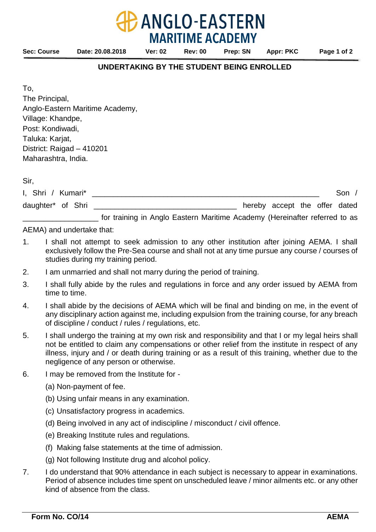To, The Principal, Anglo-Eastern Maritime Academy, Village: Khandpe, Post: Kondiwadi, Taluka: Karjat, District: Raigad – 410201

Maharashtra, India.

Sir,

| I, Shri / Kumari* |  |                                                                            |  |                               |  | Son |
|-------------------|--|----------------------------------------------------------------------------|--|-------------------------------|--|-----|
| daughter* of Shri |  |                                                                            |  | hereby accept the offer dated |  |     |
|                   |  | for training in Anglo Eastern Maritime Academy (Hereinafter referred to as |  |                               |  |     |

AEMA) and undertake that:

- 1. I shall not attempt to seek admission to any other institution after joining AEMA. I shall exclusively follow the Pre-Sea course and shall not at any time pursue any course / courses of studies during my training period.
- 2. I am unmarried and shall not marry during the period of training.
- 3. I shall fully abide by the rules and regulations in force and any order issued by AEMA from time to time.
- 4. I shall abide by the decisions of AEMA which will be final and binding on me, in the event of any disciplinary action against me, including expulsion from the training course, for any breach of discipline / conduct / rules / regulations, etc.
- 5. I shall undergo the training at my own risk and responsibility and that I or my legal heirs shall not be entitled to claim any compensations or other relief from the institute in respect of any illness, injury and / or death during training or as a result of this training, whether due to the negligence of any person or otherwise.
- 6. I may be removed from the Institute for
	- (a) Non-payment of fee.
	- (b) Using unfair means in any examination.
	- (c) Unsatisfactory progress in academics.
	- (d) Being involved in any act of indiscipline / misconduct / civil offence.
	- (e) Breaking Institute rules and regulations.
	- (f) Making false statements at the time of admission.
	- (g) Not following Institute drug and alcohol policy.
- 7. I do understand that 90% attendance in each subject is necessary to appear in examinations. Period of absence includes time spent on unscheduled leave / minor ailments etc. or any other kind of absence from the class.

**ANGLO-EASTERN MARITIME ACADEMY**

**UNDERTAKING BY THE STUDENT BEING ENROLLED**

**Sec: Course Date: 20.08.2018 Ver: 02 Rev: 00 Prep: SN Appr: PKC Page 1 of 2**